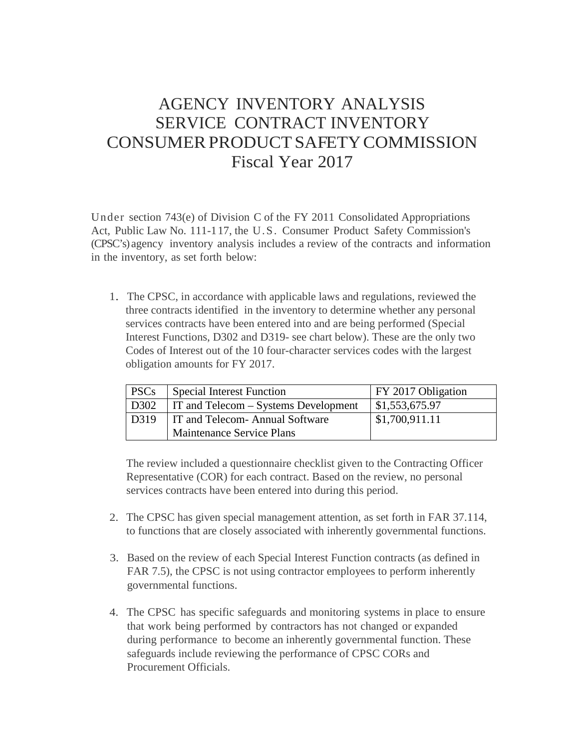## AGENCY INVENTORY ANALYSIS SERVICE CONTRACT INVENTORY CONSUMER PRODUCT SAFETY COMMISSION Fiscal Year 2017

Under section 743(e) of Division C of the FY 2011 Consolidated Appropriations Act, Public Law No. 111-117, the U.S. Consumer Product Safety Commission's (CPSC's) agency inventory analysis includes a review of the contracts and information in the inventory, as set forth below:

1. The CPSC, in accordance with applicable laws and regulations, reviewed the three contracts identified in the inventory to determine whether any personal services contracts have been entered into and are being performed (Special Interest Functions, D302 and D319- see chart below). These are the only two Codes of Interest out of the 10 four-character services codes with the largest obligation amounts for FY 2017.

| PSCs | Special Interest Function                   | FY 2017 Obligation    |
|------|---------------------------------------------|-----------------------|
| D302 | <b>IT and Telecom – Systems Development</b> | $\mid$ \$1,553,675.97 |
|      | D319   IT and Telecom- Annual Software      | \$1,700,911.11        |
|      | Maintenance Service Plans                   |                       |

The review included a questionnaire checklist given to the Contracting Officer Representative (COR) for each contract. Based on the review, no personal services contracts have been entered into during this period.

- 2. The CPSC has given special management attention, as set forth in FAR 37.114, to functions that are closely associated with inherently governmental functions.
- 3. Based on the review of each Special Interest Function contracts (as defined in FAR 7.5), the CPSC is not using contractor employees to perform inherently governmental functions.
- 4. The CPSC has specific safeguards and monitoring systems in place to ensure that work being performed by contractors has not changed or expanded during performance to become an inherently governmental function. These safeguards include reviewing the performance of CPSC CORs and Procurement Officials.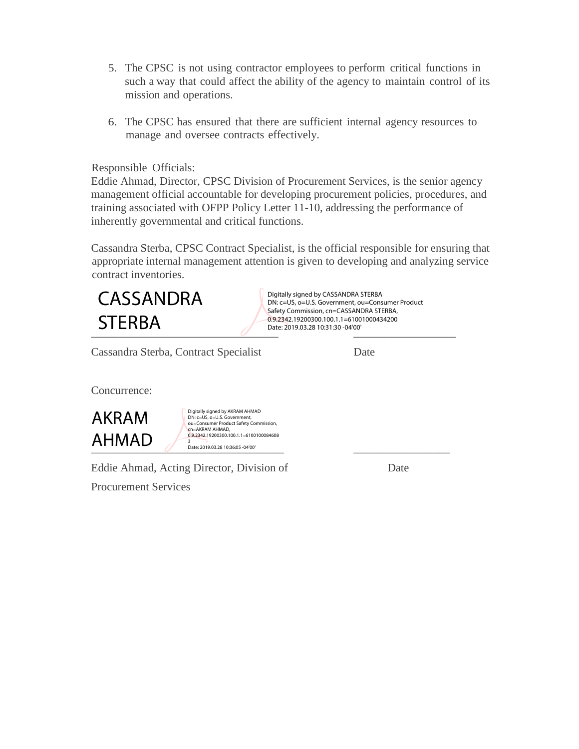- 5. The CPSC is not using contractor employees to perform critical functions in such a way that could affect the ability of the agency to maintain control of its mission and operations.
- 6. The CPSC has ensured that there are sufficient internal agency resources to manage and oversee contracts effectively.

## Responsible Officials:

Eddie Ahmad, Director, CPSC Division of Procurement Services, is the senior agency management official accountable for developing procurement policies, procedures, and training associated with OFPP Policy Letter 11-10, addressing the performance of inherently governmental and critical functions.

Cassandra Sterba, CPSC Contract Specialist, is the official responsible for ensuring that appropriate internal management attention is given to developing and analyzing service contract inventories.



Digitally signed by CASSANDRA STERBA DN: c=US, o=U.S. Government, ou=Consumer Product Safety Commission, cn=CASSANDRA STERBA, 0.9.2342.19200300.100.1.1=61001000434200 Date: 2019.03.28 10:31:30 -04'00'

Cassandra Sterba, Contract Specialist Date

Concurrence:



Digitally signed by AKRAM AHMAD DN: c=US, o=U.S. Government, ou=Consumer Product Safety Commission, cn=AKRAM AHMAD,<br>0.9.2342.19200300.100.1.1=6100100084608

Eddie Ahmad, Acting Director, Division of Date

Procurement Services